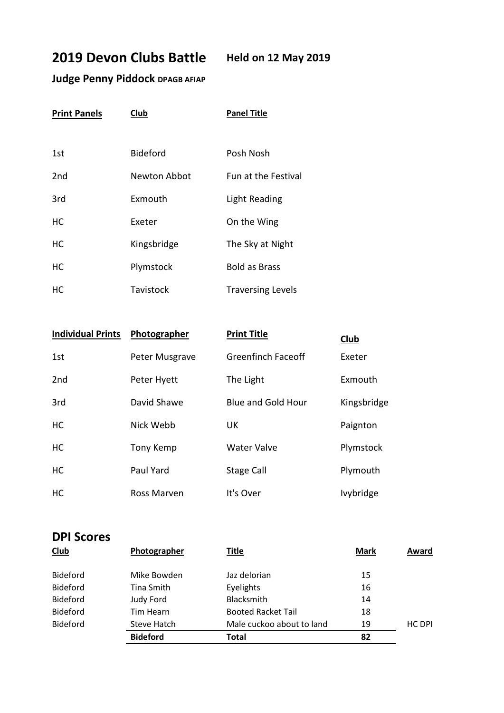## **2019 Devon Clubs Battle Held on 12 May 2019**

## **Judge Penny Piddock DPAGB AFIAP**

| <b>Print Panels</b> | Club            | <b>Panel Title</b>       |  |
|---------------------|-----------------|--------------------------|--|
|                     |                 |                          |  |
| 1st                 | <b>Bideford</b> | Posh Nosh                |  |
| 2 <sub>nd</sub>     | Newton Abbot    | Fun at the Festival      |  |
| 3rd                 | Exmouth         | Light Reading            |  |
| НC                  | Exeter          | On the Wing              |  |
| HC                  | Kingsbridge     | The Sky at Night         |  |
| HC                  | Plymstock       | <b>Bold as Brass</b>     |  |
| НC                  | Tavistock       | <b>Traversing Levels</b> |  |

| <b>Individual Prints</b> | Photographer   | <b>Print Title</b>        | Club             |
|--------------------------|----------------|---------------------------|------------------|
| 1st                      | Peter Musgrave | Greenfinch Faceoff        | Exeter           |
| 2 <sub>nd</sub>          | Peter Hyett    | The Light                 | Exmouth          |
| 3rd                      | David Shawe    | <b>Blue and Gold Hour</b> | Kingsbridge      |
| HC.                      | Nick Webb      | UK                        | Paignton         |
| HC.                      | Tony Kemp      | <b>Water Valve</b>        | Plymstock        |
| <b>HC</b>                | Paul Yard      | <b>Stage Call</b>         | Plymouth         |
| <b>HC</b>                | Ross Marven    | It's Over                 | <b>Ivybridge</b> |

## **DPI Scores**

| <b>Club</b>     | Photographer       | <b>Title</b>              | <b>Mark</b> | Award  |
|-----------------|--------------------|---------------------------|-------------|--------|
| <b>Bideford</b> | Mike Bowden        | Jaz delorian              | 15          |        |
| <b>Bideford</b> | Tina Smith         | Eyelights                 | 16          |        |
| <b>Bideford</b> | Judy Ford          | Blacksmith                | 14          |        |
| <b>Bideford</b> | Tim Hearn          | <b>Booted Racket Tail</b> | 18          |        |
| <b>Bideford</b> | <b>Steve Hatch</b> | Male cuckoo about to land | 19          | HC DPI |
|                 | <b>Bideford</b>    | <b>Total</b>              | 82          |        |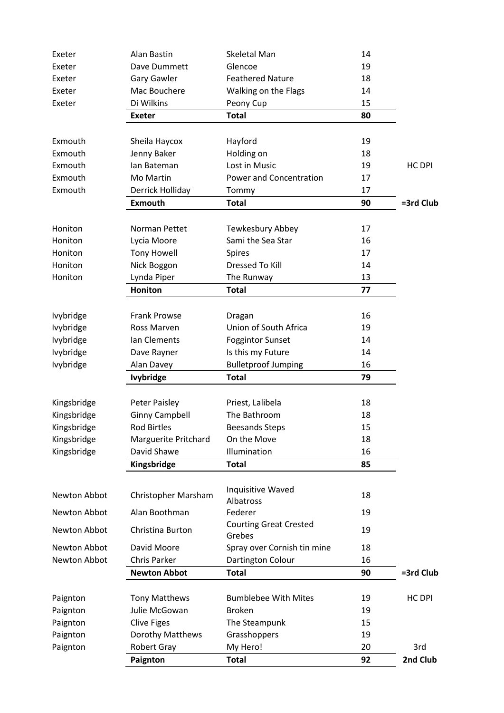| Exeter       | Alan Bastin                 | <b>Skeletal Man</b>                     | 14 |           |
|--------------|-----------------------------|-----------------------------------------|----|-----------|
| Exeter       | Dave Dummett                | Glencoe                                 | 19 |           |
| Exeter       | <b>Gary Gawler</b>          | <b>Feathered Nature</b>                 | 18 |           |
| Exeter       | Mac Bouchere                | Walking on the Flags                    | 14 |           |
| Exeter       | Di Wilkins                  | Peony Cup                               | 15 |           |
|              | <b>Exeter</b>               | <b>Total</b>                            | 80 |           |
|              |                             |                                         |    |           |
| Exmouth      | Sheila Haycox               | Hayford                                 | 19 |           |
| Exmouth      | Jenny Baker                 | Holding on                              | 18 |           |
| Exmouth      | lan Bateman                 | Lost in Music                           | 19 | HC DPI    |
| Exmouth      | Mo Martin                   | Power and Concentration                 | 17 |           |
| Exmouth      | Derrick Holliday            | Tommy                                   | 17 |           |
|              | <b>Exmouth</b>              | <b>Total</b>                            | 90 | =3rd Club |
| Honiton      | Norman Pettet               | Tewkesbury Abbey                        | 17 |           |
| Honiton      | Lycia Moore                 | Sami the Sea Star                       | 16 |           |
| Honiton      | <b>Tony Howell</b>          | Spires                                  | 17 |           |
| Honiton      | Nick Boggon                 | <b>Dressed To Kill</b>                  | 14 |           |
| Honiton      | Lynda Piper                 | The Runway                              | 13 |           |
|              | <b>Honiton</b>              | <b>Total</b>                            | 77 |           |
|              |                             |                                         |    |           |
| Ivybridge    | <b>Frank Prowse</b>         | Dragan                                  | 16 |           |
| Ivybridge    | Ross Marven                 | Union of South Africa                   | 19 |           |
| Ivybridge    | Ian Clements                | <b>Foggintor Sunset</b>                 | 14 |           |
| Ivybridge    | Dave Rayner                 | Is this my Future                       | 14 |           |
| Ivybridge    | Alan Davey                  | <b>Bulletproof Jumping</b>              | 16 |           |
|              | <b>Ivybridge</b>            | <b>Total</b>                            | 79 |           |
|              |                             |                                         |    |           |
| Kingsbridge  | <b>Peter Paisley</b>        | Priest, Lalibela                        | 18 |           |
| Kingsbridge  | <b>Ginny Campbell</b>       | The Bathroom                            | 18 |           |
| Kingsbridge  | <b>Rod Birtles</b>          | <b>Beesands Steps</b>                   | 15 |           |
| Kingsbridge  | <b>Marguerite Pritchard</b> | On the Move                             | 18 |           |
| Kingsbridge  | David Shawe                 | Illumination                            | 16 |           |
|              | Kingsbridge                 | <b>Total</b>                            | 85 |           |
| Newton Abbot | Christopher Marsham         | Inquisitive Waved<br><b>Albatross</b>   | 18 |           |
| Newton Abbot | Alan Boothman               | Federer                                 | 19 |           |
| Newton Abbot | Christina Burton            | <b>Courting Great Crested</b><br>Grebes | 19 |           |
| Newton Abbot | David Moore                 | Spray over Cornish tin mine             | 18 |           |
| Newton Abbot | Chris Parker                | Dartington Colour                       | 16 |           |
|              | <b>Newton Abbot</b>         | <b>Total</b>                            | 90 | =3rd Club |
|              | <b>Tony Matthews</b>        | <b>Bumblebee With Mites</b>             | 19 | HC DPI    |
| Paignton     | Julie McGowan               | <b>Broken</b>                           | 19 |           |
| Paignton     |                             |                                         |    |           |
| Paignton     | <b>Clive Figes</b>          | The Steampunk                           | 15 |           |
| Paignton     | Dorothy Matthews            | Grasshoppers                            | 19 |           |
| Paignton     | <b>Robert Gray</b>          | My Hero!<br><b>Total</b>                | 20 | 3rd       |
|              | Paignton                    |                                         | 92 | 2nd Club  |